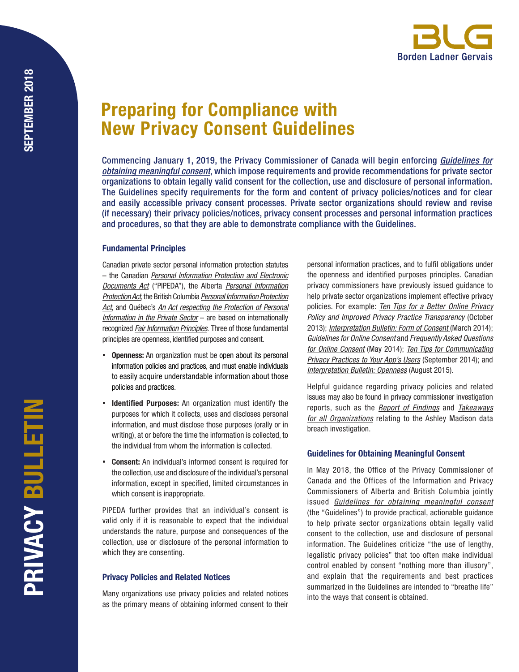# Preparing for Compliance with New Privacy Consent Guidelines

Commencing January 1, 2019, the Privacy Commissioner of Canada will begin enforcing *[Guidelines for](https://www.priv.gc.ca/en/privacy-topics/collecting-personal-information/consent/gl_omc_201805/)  [obtaining meaningful consent](https://www.priv.gc.ca/en/privacy-topics/collecting-personal-information/consent/gl_omc_201805/)*, which impose requirements and provide recommendations for private sector organizations to obtain legally valid consent for the collection, use and disclosure of personal information. The Guidelines specify requirements for the form and content of privacy policies/notices and for clear and easily accessible privacy consent processes. Private sector organizations should review and revise (if necessary) their privacy policies/notices, privacy consent processes and personal information practices and procedures, so that they are able to demonstrate compliance with the Guidelines.

### Fundamental Principles

Canadian private sector personal information protection statutes – the Canadian *[Personal Information Protection and Electronic](http://canlii.ca/t/52hmg) [Documents Act](http://canlii.ca/t/52hmg)* ("PIPEDA"), the Alberta *[Personal Information](http://canlii.ca/t/81qp) [Protection Act](http://canlii.ca/t/81qp)*, the British Columbia *[Personal Information Protection](http://canlii.ca/t/84mg) [Act](http://canlii.ca/t/84mg)*, and Québec's *[An Act respecting the Protection of Personal](http://canlii.ca/t/xpm) [Information in the Private Sector](http://canlii.ca/t/xpm)* – are based on internationally recognized *[Fair Information Principles](https://www.priv.gc.ca/en/privacy-topics/privacy-laws-in-canada/the-personal-information-protection-and-electronic-documents-act-pipeda/p_principle/)*. Three of those fundamental principles are openness, identified purposes and consent.

- **Openness:** An organization must be open about its personal information policies and practices, and must enable individuals to easily acquire understandable information about those policies and practices.
- **Identified Purposes:** An organization must identify the purposes for which it collects, uses and discloses personal information, and must disclose those purposes (orally or in writing), at or before the time the information is collected, to the individual from whom the information is collected.
- **Consent:** An individual's informed consent is required for the collection, use and disclosure of the individual's personal information, except in specified, limited circumstances in which consent is inappropriate.

PIPEDA further provides that an individual's consent is valid only if it is reasonable to expect that the individual understands the nature, purpose and consequences of the collection, use or disclosure of the personal information to which they are consenting.

# Privacy Policies and Related Notices

Many organizations use privacy policies and related notices as the primary means of obtaining informed consent to their personal information practices, and to fulfil obligations under the openness and identified purposes principles. Canadian privacy commissioners have previously issued guidance to help private sector organizations implement effective privacy policies. For example: *[Ten Tips for a Better Online Privacy](https://www.priv.gc.ca/en/privacy-topics/privacy-policies/02_05_d_56_tips2/)  [Policy and Improved Privacy Practice Transparency](https://www.priv.gc.ca/en/privacy-topics/privacy-policies/02_05_d_56_tips2/)* (October 2013); *[Interpretation Bulletin: Form of Consent](https://www.priv.gc.ca/en/privacy-topics/privacy-laws-in-canada/the-personal-information-protection-and-electronic-documents-act-pipeda/pipeda-compliance-help/pipeda-interpretation-bulletins/interpretations_07_consent/)* (March 2014); *[Guidelines for Online Consent](https://www.priv.gc.ca/media/2105/gl_oc_201405_e.pdf)* and *[Frequently Asked Questions](https://www.priv.gc.ca/en/privacy-topics/collecting-personal-information/consent/gl_oc_201405_faq/)  [for Online Consent](https://www.priv.gc.ca/en/privacy-topics/collecting-personal-information/consent/gl_oc_201405_faq/)* (May 2014); *[Ten Tips for Communicating](https://www.priv.gc.ca/en/privacy-topics/technology-and-privacy/mobile-devices-and-apps/02_05_d_61_tips/)  [Privacy Practices to Your App's Users](https://www.priv.gc.ca/en/privacy-topics/technology-and-privacy/mobile-devices-and-apps/02_05_d_61_tips/)* (September 2014); and *[Interpretation Bulletin: Openness](https://www.priv.gc.ca/en/privacy-topics/privacy-laws-in-canada/the-personal-information-protection-and-electronic-documents-act-pipeda/pipeda-compliance-help/pipeda-interpretation-bulletins/interpretations_09_open/)* (August 2015).

Helpful guidance regarding privacy policies and related issues may also be found in privacy commissioner investigation reports, such as the *[Report of Findings](https://www.priv.gc.ca/en/opc-actions-and-decisions/investigations/investigations-into-businesses/2016/pipeda-2016-005/)* and *[Takeaways](https://www.priv.gc.ca/en/privacy-topics/privacy-laws-in-canada/the-personal-information-protection-and-electronic-documents-act-pipeda/pipeda-compliance-help/issue-specific-guidance-for-businesses/2016_005_ta/)  [for all Organizations](https://www.priv.gc.ca/en/privacy-topics/privacy-laws-in-canada/the-personal-information-protection-and-electronic-documents-act-pipeda/pipeda-compliance-help/issue-specific-guidance-for-businesses/2016_005_ta/)* relating to the Ashley Madison data breach investigation.

# Guidelines for Obtaining Meaningful Consent

In May 2018, the Office of the Privacy Commissioner of Canada and the Offices of the Information and Privacy Commissioners of Alberta and British Columbia jointly issued *[Guidelines for obtaining meaningful consent](https://www.priv.gc.ca/en/privacy-topics/collecting-personal-information/consent/gl_omc_201805/)* (the "Guidelines") to provide practical, actionable guidance to help private sector organizations obtain legally valid consent to the collection, use and disclosure of personal information. The Guidelines criticize "the use of lengthy, legalistic privacy policies" that too often make individual control enabled by consent "nothing more than illusory", and explain that the requirements and best practices summarized in the Guidelines are intended to "breathe life" into the ways that consent is obtained.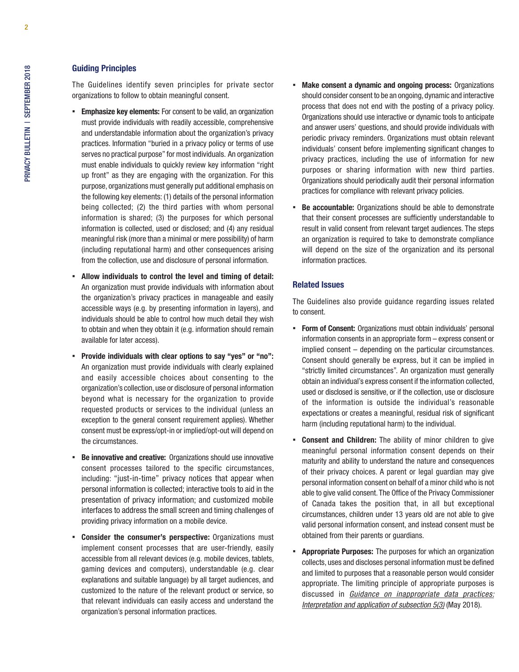## Guiding Principles

The Guidelines identify seven principles for private sector organizations to follow to obtain meaningful consent.

- **Emphasize key elements:** For consent to be valid, an organization must provide individuals with readily accessible, comprehensive and understandable information about the organization's privacy practices. Information "buried in a privacy policy or terms of use serves no practical purpose" for most individuals. An organization must enable individuals to quickly review key information "right up front" as they are engaging with the organization. For this purpose, organizations must generally put additional emphasis on the following key elements: (1) details of the personal information being collected; (2) the third parties with whom personal information is shared; (3) the purposes for which personal information is collected, used or disclosed; and (4) any residual meaningful risk (more than a minimal or mere possibility) of harm (including reputational harm) and other consequences arising from the collection, use and disclosure of personal information.
- Allow individuals to control the level and timing of detail: An organization must provide individuals with information about the organization's privacy practices in manageable and easily accessible ways (e.g. by presenting information in layers), and individuals should be able to control how much detail they wish to obtain and when they obtain it (e.g. information should remain available for later access).
- Provide individuals with clear options to say "yes" or "no": An organization must provide individuals with clearly explained and easily accessible choices about consenting to the organization's collection, use or disclosure of personal information beyond what is necessary for the organization to provide requested products or services to the individual (unless an exception to the general consent requirement applies). Whether consent must be express/opt-in or implied/opt-out will depend on the circumstances.
- **Be innovative and creative:** Organizations should use innovative consent processes tailored to the specific circumstances, including: "just-in-time" privacy notices that appear when personal information is collected; interactive tools to aid in the presentation of privacy information; and customized mobile interfaces to address the small screen and timing challenges of providing privacy information on a mobile device.
- Consider the consumer's perspective: Organizations must implement consent processes that are user-friendly, easily accessible from all relevant devices (e.g. mobile devices, tablets, gaming devices and computers), understandable (e.g. clear explanations and suitable language) by all target audiences, and customized to the nature of the relevant product or service, so that relevant individuals can easily access and understand the organization's personal information practices.
- Make consent a dynamic and ongoing process: Organizations should consider consent to be an ongoing, dynamic and interactive process that does not end with the posting of a privacy policy. Organizations should use interactive or dynamic tools to anticipate and answer users' questions, and should provide individuals with periodic privacy reminders. Organizations must obtain relevant individuals' consent before implementing significant changes to privacy practices, including the use of information for new purposes or sharing information with new third parties. Organizations should periodically audit their personal information practices for compliance with relevant privacy policies.
- **E** Be accountable: Organizations should be able to demonstrate that their consent processes are sufficiently understandable to result in valid consent from relevant target audiences. The steps an organization is required to take to demonstrate compliance will depend on the size of the organization and its personal information practices.

### Related Issues

The Guidelines also provide guidance regarding issues related to consent.

- **Form of Consent:** Organizations must obtain individuals' personal information consents in an appropriate form – express consent or implied consent – depending on the particular circumstances. Consent should generally be express, but it can be implied in "strictly limited circumstances". An organization must generally obtain an individual's express consent if the information collected, used or disclosed is sensitive, or if the collection, use or disclosure of the information is outside the individual's reasonable expectations or creates a meaningful, residual risk of significant harm (including reputational harm) to the individual.
- **Consent and Children:** The ability of minor children to give meaningful personal information consent depends on their maturity and ability to understand the nature and consequences of their privacy choices. A parent or legal guardian may give personal information consent on behalf of a minor child who is not able to give valid consent. The Office of the Privacy Commissioner of Canada takes the position that, in all but exceptional circumstances, children under 13 years old are not able to give valid personal information consent, and instead consent must be obtained from their parents or guardians.
- **Appropriate Purposes:** The purposes for which an organization collects, uses and discloses personal information must be defined and limited to purposes that a reasonable person would consider appropriate. The limiting principle of appropriate purposes is discussed in *[Guidance on inappropriate data practices:](https://www.priv.gc.ca/en/privacy-topics/collecting-personal-information/consent/gd_53_201805/) [Interpretation and application of subsection 5\(3\)](https://www.priv.gc.ca/en/privacy-topics/collecting-personal-information/consent/gd_53_201805/)* (May 2018).